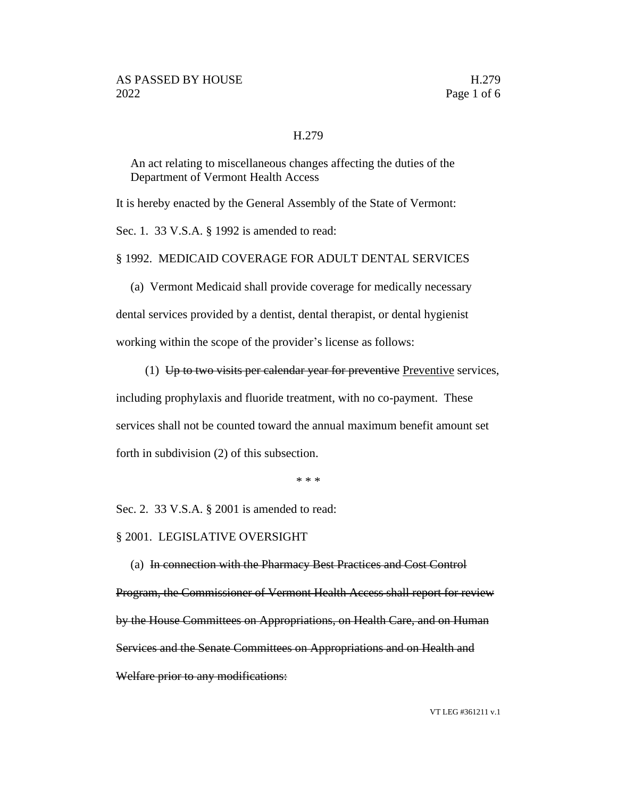## H.279

An act relating to miscellaneous changes affecting the duties of the Department of Vermont Health Access

It is hereby enacted by the General Assembly of the State of Vermont:

Sec. 1. 33 V.S.A. § 1992 is amended to read:

§ 1992. MEDICAID COVERAGE FOR ADULT DENTAL SERVICES

(a) Vermont Medicaid shall provide coverage for medically necessary dental services provided by a dentist, dental therapist, or dental hygienist working within the scope of the provider's license as follows:

(1)  $Up$  to two visits per calendar year for preventive Preventive services, including prophylaxis and fluoride treatment, with no co-payment. These

services shall not be counted toward the annual maximum benefit amount set

forth in subdivision (2) of this subsection.

\* \* \*

Sec. 2. 33 V.S.A. § 2001 is amended to read:

## § 2001. LEGISLATIVE OVERSIGHT

(a) In connection with the Pharmacy Best Practices and Cost Control Program, the Commissioner of Vermont Health Access shall report for review by the House Committees on Appropriations, on Health Care, and on Human Services and the Senate Committees on Appropriations and on Health and Welfare prior to any modifications: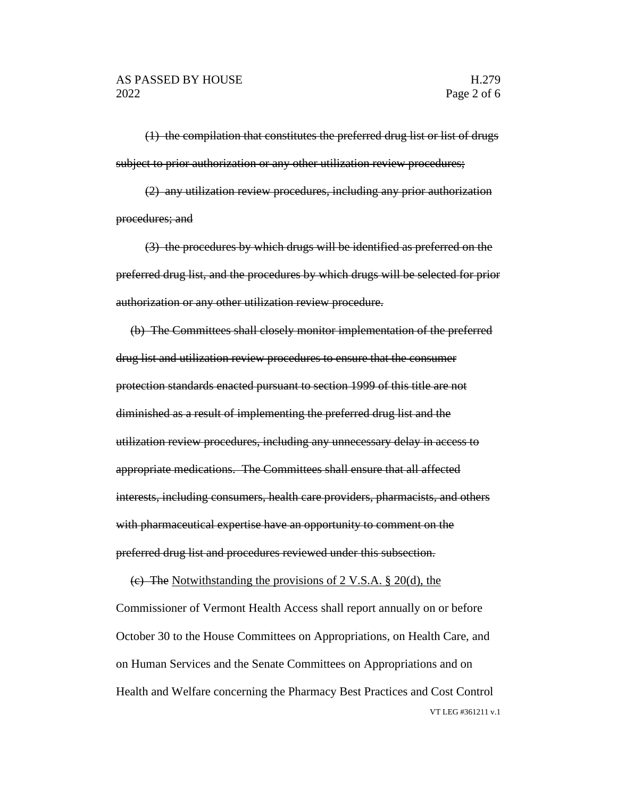(1) the compilation that constitutes the preferred drug list or list of drugs subject to prior authorization or any other utilization review procedures;

(2) any utilization review procedures, including any prior authorization procedures; and

(3) the procedures by which drugs will be identified as preferred on the preferred drug list, and the procedures by which drugs will be selected for prior authorization or any other utilization review procedure.

(b) The Committees shall closely monitor implementation of the preferred drug list and utilization review procedures to ensure that the consumer protection standards enacted pursuant to section 1999 of this title are not diminished as a result of implementing the preferred drug list and the utilization review procedures, including any unnecessary delay in access to appropriate medications. The Committees shall ensure that all affected interests, including consumers, health care providers, pharmacists, and others with pharmaceutical expertise have an opportunity to comment on the preferred drug list and procedures reviewed under this subsection.

VT LEG #361211 v.1 (c) The Notwithstanding the provisions of 2 V.S.A. § 20(d), the Commissioner of Vermont Health Access shall report annually on or before October 30 to the House Committees on Appropriations, on Health Care, and on Human Services and the Senate Committees on Appropriations and on Health and Welfare concerning the Pharmacy Best Practices and Cost Control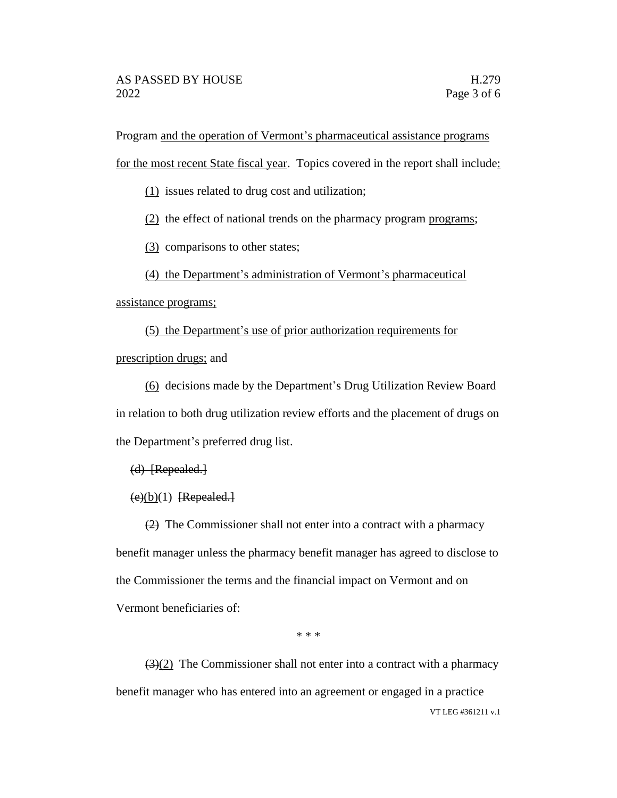Program and the operation of Vermont's pharmaceutical assistance programs

for the most recent State fiscal year. Topics covered in the report shall include:

(1) issues related to drug cost and utilization;

 $(2)$  the effect of national trends on the pharmacy program programs;

(3) comparisons to other states;

(4) the Department's administration of Vermont's pharmaceutical

assistance programs;

(5) the Department's use of prior authorization requirements for prescription drugs; and

(6) decisions made by the Department's Drug Utilization Review Board in relation to both drug utilization review efforts and the placement of drugs on the Department's preferred drug list.

 $(d)$  [Repealed.]

 $(e)(b)(1)$  [Repealed.]

(2) The Commissioner shall not enter into a contract with a pharmacy benefit manager unless the pharmacy benefit manager has agreed to disclose to the Commissioner the terms and the financial impact on Vermont and on Vermont beneficiaries of:

\* \* \*

VT LEG #361211 v.1  $\left(\frac{3}{2}\right)$  The Commissioner shall not enter into a contract with a pharmacy benefit manager who has entered into an agreement or engaged in a practice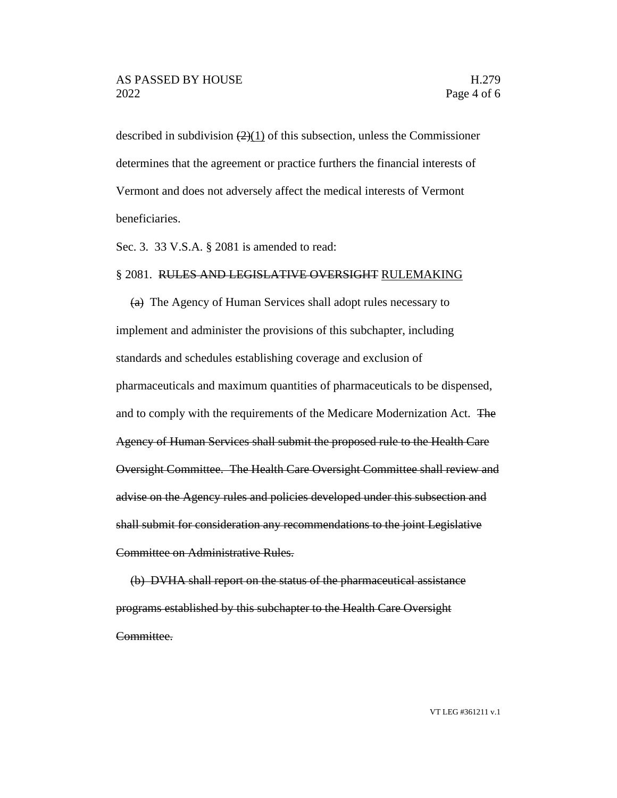described in subdivision  $(2)(1)$  of this subsection, unless the Commissioner determines that the agreement or practice furthers the financial interests of Vermont and does not adversely affect the medical interests of Vermont beneficiaries.

Sec. 3. 33 V.S.A. § 2081 is amended to read:

## § 2081. RULES AND LEGISLATIVE OVERSIGHT RULEMAKING

(a) The Agency of Human Services shall adopt rules necessary to implement and administer the provisions of this subchapter, including standards and schedules establishing coverage and exclusion of pharmaceuticals and maximum quantities of pharmaceuticals to be dispensed, and to comply with the requirements of the Medicare Modernization Act. The Agency of Human Services shall submit the proposed rule to the Health Care Oversight Committee. The Health Care Oversight Committee shall review and advise on the Agency rules and policies developed under this subsection and shall submit for consideration any recommendations to the joint Legislative Committee on Administrative Rules.

(b) DVHA shall report on the status of the pharmaceutical assistance programs established by this subchapter to the Health Care Oversight Committee.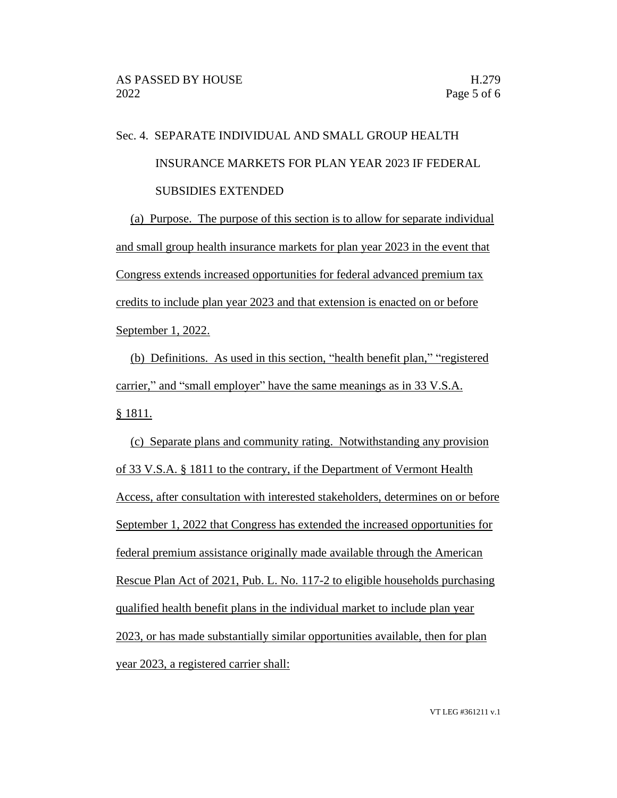## Sec. 4. SEPARATE INDIVIDUAL AND SMALL GROUP HEALTH INSURANCE MARKETS FOR PLAN YEAR 2023 IF FEDERAL SUBSIDIES EXTENDED

(a) Purpose. The purpose of this section is to allow for separate individual and small group health insurance markets for plan year 2023 in the event that Congress extends increased opportunities for federal advanced premium tax credits to include plan year 2023 and that extension is enacted on or before September 1, 2022.

(b) Definitions. As used in this section, "health benefit plan," "registered carrier," and "small employer" have the same meanings as in 33 V.S.A. § 1811.

(c) Separate plans and community rating. Notwithstanding any provision of 33 V.S.A. § 1811 to the contrary, if the Department of Vermont Health Access, after consultation with interested stakeholders, determines on or before September 1, 2022 that Congress has extended the increased opportunities for federal premium assistance originally made available through the American Rescue Plan Act of 2021, Pub. L. No. 117-2 to eligible households purchasing qualified health benefit plans in the individual market to include plan year 2023, or has made substantially similar opportunities available, then for plan year 2023, a registered carrier shall: